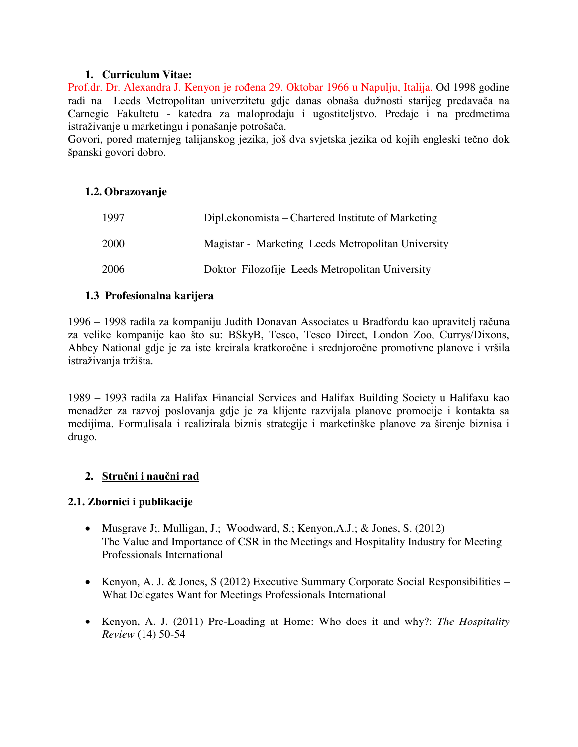### **1. Curriculum Vitae:**

Prof.dr. Dr. Alexandra J. Kenyon je rođena 29. Oktobar 1966 u Napulju, Italija. Od 1998 godine radi na Leeds Metropolitan univerzitetu gdje danas obnaša dužnosti starijeg predavača na Carnegie Fakultetu - katedra za maloprodaju i ugostiteljstvo. Predaje i na predmetima istraživanje u marketingu i ponašanje potrošača.

Govori, pored maternjeg talijanskog jezika, još dva svjetska jezika od kojih engleski tečno dok španski govori dobro.

### **1.2. Obrazovanje**

| 1997        | Dipl.ekonomista – Chartered Institute of Marketing |
|-------------|----------------------------------------------------|
| <b>2000</b> | Magistar - Marketing Leeds Metropolitan University |
| 2006        | Doktor Filozofije Leeds Metropolitan University    |

### **1.3 Profesionalna karijera**

1996 – 1998 radila za kompaniju Judith Donavan Associates u Bradfordu kao upravitelj računa za velike kompanije kao što su: BSkyB, Tesco, Tesco Direct, London Zoo, Currys/Dixons, Abbey National gdje je za iste kreirala kratkoročne i srednjoročne promotivne planove i vršila istraživanja tržišta.

1989 – 1993 radila za Halifax Financial Services and Halifax Building Society u Halifaxu kao menadžer za razvoj poslovanja gdje je za klijente razvijala planove promocije i kontakta sa medijima. Formulisala i realizirala biznis strategije i marketinške planove za širenje biznisa i drugo.

# **2. Stručni i naučni rad**

# **2.1. Zbornici i publikacije**

- Musgrave J;. Mulligan, J.; Woodward, S.; Kenyon,A.J.; & Jones, S. (2012) The Value and Importance of CSR in the Meetings and Hospitality Industry for Meeting Professionals International
- Kenyon, A. J. & Jones, S (2012) Executive Summary Corporate Social Responsibilities What Delegates Want for Meetings Professionals International
- Kenyon, A. J. (2011) Pre-Loading at Home: Who does it and why?: *The Hospitality Review* (14) 50-54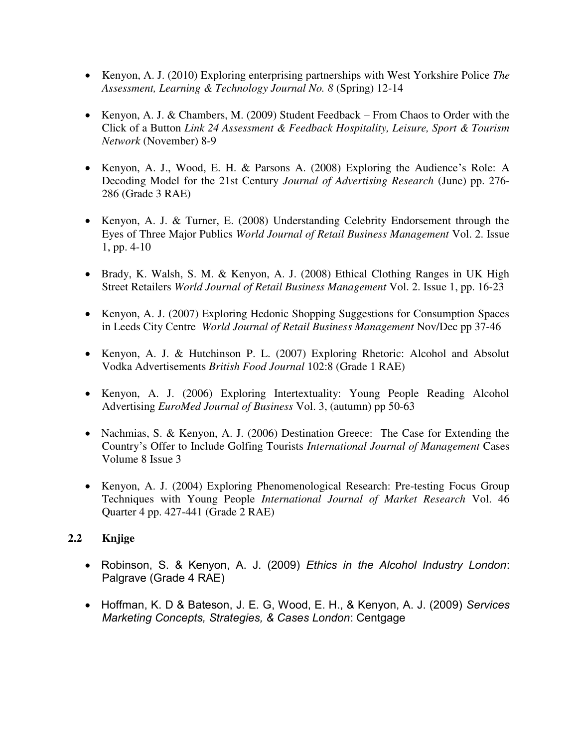- Kenyon, A. J. (2010) Exploring enterprising partnerships with West Yorkshire Police *The Assessment, Learning & Technology Journal No. 8* (Spring) 12-14
- Kenyon, A. J. & Chambers, M. (2009) Student Feedback From Chaos to Order with the Click of a Button *Link 24 Assessment & Feedback Hospitality, Leisure, Sport & Tourism Network* (November) 8-9
- Kenyon, A. J., Wood, E. H. & Parsons A. (2008) Exploring the Audience's Role: A Decoding Model for the 21st Century *Journal of Advertising Research* (June) pp. 276- 286 (Grade 3 RAE)
- Kenyon, A. J. & Turner, E. (2008) Understanding Celebrity Endorsement through the Eyes of Three Major Publics *World Journal of Retail Business Management* Vol. 2. Issue 1, pp. 4-10
- Brady, K. Walsh, S. M. & Kenyon, A. J. (2008) Ethical Clothing Ranges in UK High Street Retailers *World Journal of Retail Business Management* Vol. 2. Issue 1, pp. 16-23
- Kenyon, A. J. (2007) Exploring Hedonic Shopping Suggestions for Consumption Spaces in Leeds City Centre *World Journal of Retail Business Management* Nov/Dec pp 37-46
- Kenyon, A. J. & Hutchinson P. L. (2007) Exploring Rhetoric: Alcohol and Absolut Vodka Advertisements *British Food Journal* 102:8 (Grade 1 RAE)
- Kenyon, A. J. (2006) Exploring Intertextuality: Young People Reading Alcohol Advertising *EuroMed Journal of Business* Vol. 3, (autumn) pp 50-63
- Nachmias, S. & Kenyon, A. J. (2006) Destination Greece: The Case for Extending the Country's Offer to Include Golfing Tourists *International Journal of Management* Cases Volume 8 Issue 3
- Kenyon, A. J. (2004) Exploring Phenomenological Research: Pre-testing Focus Group Techniques with Young People *International Journal of Market Research* Vol. 46 Quarter 4 pp. 427-441 (Grade 2 RAE)

# **2.2 Knjige**

- Robinson, S. & Kenyon, A. J. (2009) *Ethics in the Alcohol Industry London*: Palgrave (Grade 4 RAE)
- Hoffman, K. D & Bateson, J. E. G, Wood, E. H., & Kenyon, A. J. (2009) *Services Marketing Concepts, Strategies, & Cases London*: Centgage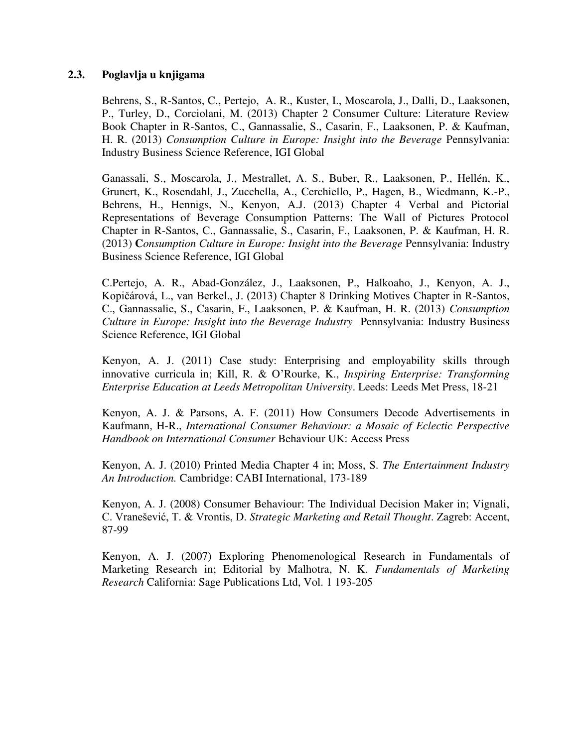#### **2.3. Poglavlja u knjigama**

Behrens, S., R-Santos, C., Pertejo, A. R., Kuster, I., Moscarola, J., Dalli, D., Laaksonen, P., Turley, D., Corciolani, M. (2013) Chapter 2 Consumer Culture: Literature Review Book Chapter in R-Santos, C., Gannassalie, S., Casarin, F., Laaksonen, P. & Kaufman, H. R. (2013) *Consumption Culture in Europe: Insight into the Beverage* Pennsylvania: Industry Business Science Reference, IGI Global

Ganassali, S., Moscarola, J., Mestrallet, A. S., Buber, R., Laaksonen, P., Hellén, K., Grunert, K., Rosendahl, J., Zucchella, A., Cerchiello, P., Hagen, B., Wiedmann, K.-P., Behrens, H., Hennigs, N., Kenyon, A.J. (2013) Chapter 4 Verbal and Pictorial Representations of Beverage Consumption Patterns: The Wall of Pictures Protocol Chapter in R-Santos, C., Gannassalie, S., Casarin, F., Laaksonen, P. & Kaufman, H. R. (2013) **C***onsumption Culture in Europe: Insight into the Beverage* Pennsylvania: Industry Business Science Reference, IGI Global

C.Pertejo, A. R., Abad-González, J., Laaksonen, P., Halkoaho, J., Kenyon, A. J., Kopičárová, L., van Berkel., J. (2013) Chapter 8 Drinking Motives Chapter in R-Santos, C., Gannassalie, S., Casarin, F., Laaksonen, P. & Kaufman, H. R. (2013) *Consumption Culture in Europe: Insight into the Beverage Industry*Pennsylvania: Industry Business Science Reference, IGI Global

Kenyon, A. J. (2011) Case study: Enterprising and employability skills through innovative curricula in; Kill, R. & O'Rourke, K., *Inspiring Enterprise: Transforming Enterprise Education at Leeds Metropolitan University*. Leeds: Leeds Met Press, 18-21

Kenyon, A. J. & Parsons, A. F. (2011) How Consumers Decode Advertisements in Kaufmann, H-R., *International Consumer Behaviour: a Mosaic of Eclectic Perspective Handbook on International Consumer* Behaviour UK: Access Press

Kenyon, A. J. (2010) Printed Media Chapter 4 in; Moss, S. *The Entertainment Industry An Introduction.* Cambridge: CABI International, 173-189

Kenyon, A. J. (2008) Consumer Behaviour: The Individual Decision Maker in; Vignali, C. Vranešević, T. & Vrontis, D. *Strategic Marketing and Retail Thought*. Zagreb: Accent, 87-99

Kenyon, A. J. (2007) Exploring Phenomenological Research in Fundamentals of Marketing Research in; Editorial by Malhotra, N. K. *Fundamentals of Marketing Research* California: Sage Publications Ltd, Vol. 1 193-205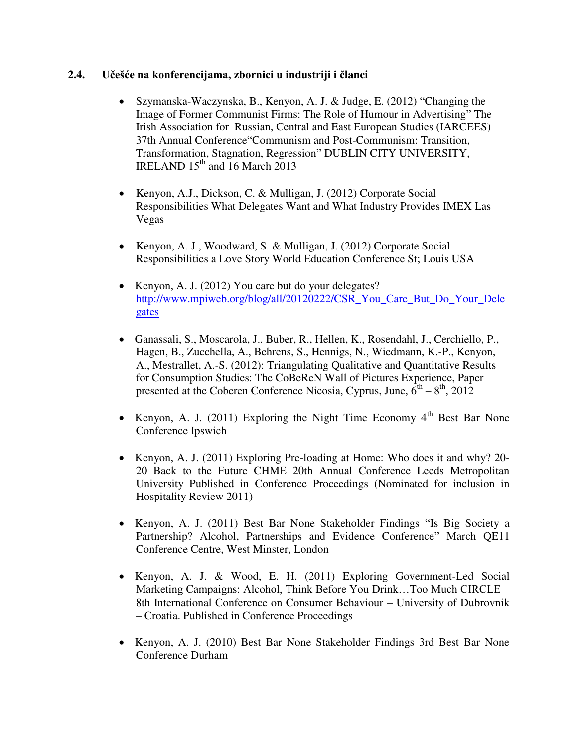### **2.4. Učešće na konferencijama, zbornici u industriji i članci**

- Szymanska-Waczynska, B., Kenyon, A. J. & Judge, E. (2012) "Changing the Image of Former Communist Firms: The Role of Humour in Advertising" The Irish Association for Russian, Central and East European Studies (IARCEES) 37th Annual Conference"Communism and Post-Communism: Transition, Transformation, Stagnation, Regression" DUBLIN CITY UNIVERSITY, IRELAND  $15<sup>th</sup>$  and 16 March 2013
- Kenyon, A.J., Dickson, C. & Mulligan, J. (2012) Corporate Social Responsibilities What Delegates Want and What Industry Provides IMEX Las Vegas
- Kenyon, A. J., Woodward, S. & Mulligan, J. (2012) Corporate Social Responsibilities a Love Story World Education Conference St; Louis USA
- Kenyon, A. J. (2012) You care but do your delegates? [http://www.mpiweb.org/blog/all/20120222/CSR\\_You\\_Care\\_But\\_Do\\_Your\\_Dele](http://www.mpiweb.org/blog/all/20120222/CSR_You_Care_But_Do_Your_Delegates) [gates](http://www.mpiweb.org/blog/all/20120222/CSR_You_Care_But_Do_Your_Delegates)
- Ganassali, S., Moscarola, J.. Buber, R., Hellen, K., Rosendahl, J., Cerchiello, P., Hagen, B., Zucchella, A., Behrens, S., Hennigs, N., Wiedmann, K.-P., Kenyon, A., Mestrallet, A.-S. (2012): Triangulating Qualitative and Quantitative Results for Consumption Studies: The CoBeReN Wall of Pictures Experience, Paper presented at the Coberen Conference Nicosia, Cyprus, June,  $\tilde{6}^{th} - 8^{th}$ , 2012
- Kenyon, A. J. (2011) Exploring the Night Time Economy  $4<sup>th</sup>$  Best Bar None Conference Ipswich
- Kenyon, A. J. (2011) Exploring Pre-loading at Home: Who does it and why? 20-20 Back to the Future CHME 20th Annual Conference Leeds Metropolitan University Published in Conference Proceedings (Nominated for inclusion in Hospitality Review 2011)
- Kenyon, A. J. (2011) Best Bar None Stakeholder Findings "Is Big Society a Partnership? Alcohol, Partnerships and Evidence Conference" March QE11 Conference Centre, West Minster, London
- Kenyon, A. J. & Wood, E. H. (2011) Exploring Government-Led Social Marketing Campaigns: Alcohol, Think Before You Drink…Too Much CIRCLE – 8th International Conference on Consumer Behaviour – University of Dubrovnik – Croatia. Published in Conference Proceedings
- Kenyon, A. J. (2010) Best Bar None Stakeholder Findings 3rd Best Bar None Conference Durham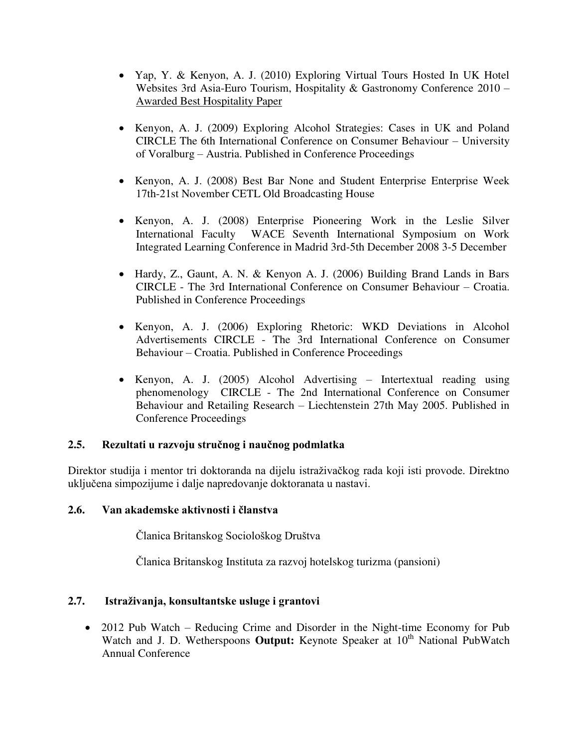- Yap, Y. & Kenyon, A. J. (2010) Exploring Virtual Tours Hosted In UK Hotel Websites 3rd Asia-Euro Tourism, Hospitality & Gastronomy Conference 2010 – Awarded Best Hospitality Paper
- Kenyon, A. J. (2009) Exploring Alcohol Strategies: Cases in UK and Poland CIRCLE The 6th International Conference on Consumer Behaviour – University of Voralburg – Austria. Published in Conference Proceedings
- Kenyon, A. J. (2008) Best Bar None and Student Enterprise Enterprise Week 17th-21st November CETL Old Broadcasting House
- Kenyon, A. J. (2008) Enterprise Pioneering Work in the Leslie Silver International Faculty WACE Seventh International Symposium on Work Integrated Learning Conference in Madrid 3rd-5th December 2008 3-5 December
- Hardy, Z., Gaunt, A. N. & Kenyon A. J. (2006) Building Brand Lands in Bars CIRCLE - The 3rd International Conference on Consumer Behaviour – Croatia. Published in Conference Proceedings
- Kenyon, A. J. (2006) Exploring Rhetoric: WKD Deviations in Alcohol Advertisements CIRCLE - The 3rd International Conference on Consumer Behaviour – Croatia. Published in Conference Proceedings
- Kenyon, A. J. (2005) Alcohol Advertising Intertextual reading using phenomenology CIRCLE - The 2nd International Conference on Consumer Behaviour and Retailing Research – Liechtenstein 27th May 2005. Published in Conference Proceedings

# **2.5. Rezultati u razvoju stručnog i naučnog podmlatka**

Direktor studija i mentor tri doktoranda na dijelu istraživačkog rada koji isti provode. Direktno uključena simpozijume i dalje napredovanje doktoranata u nastavi.

#### **2.6. Van akademske aktivnosti i članstva**

Članica Britanskog Sociološkog Društva

Članica Britanskog Instituta za razvoj hotelskog turizma (pansioni)

# **2.7. Istraživanja, konsultantske usluge i grantovi**

• 2012 Pub Watch – Reducing Crime and Disorder in the Night-time Economy for Pub Watch and J. D. Wetherspoons **Output:** Keynote Speaker at 10<sup>th</sup> National PubWatch Annual Conference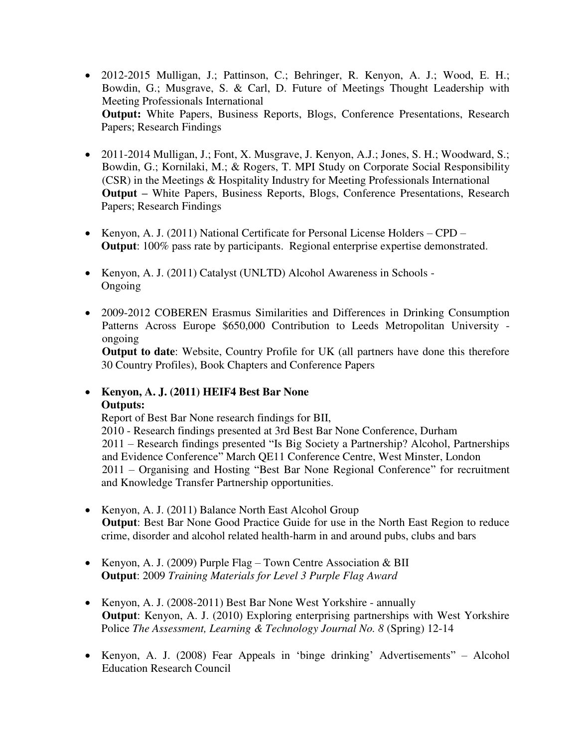- 2012-2015 Mulligan, J.; Pattinson, C.; Behringer, R. Kenyon, A. J.; Wood, E. H.; Bowdin, G.; Musgrave, S. & Carl, D. Future of Meetings Thought Leadership with Meeting Professionals International  **Output:** White Papers, Business Reports, Blogs, Conference Presentations, Research Papers; Research Findings
- 2011-2014 Mulligan, J.; Font, X. Musgrave, J. Kenyon, A.J.; Jones, S. H.; Woodward, S.; Bowdin, G.; Kornilaki, M.; & Rogers, T. MPI Study on Corporate Social Responsibility (CSR) in the Meetings & Hospitality Industry for Meeting Professionals International **Output** – White Papers, Business Reports, Blogs, Conference Presentations, Research Papers; Research Findings
- Kenyon, A. J. (2011) National Certificate for Personal License Holders CPD  **Output**: 100% pass rate by participants. Regional enterprise expertise demonstrated.
- Kenyon, A. J. (2011) Catalyst (UNLTD) Alcohol Awareness in Schools -Ongoing
- 2009-2012 COBEREN Erasmus Similarities and Differences in Drinking Consumption Patterns Across Europe \$650,000 Contribution to Leeds Metropolitan University ongoing

 **Output to date**: Website, Country Profile for UK (all partners have done this therefore 30 Country Profiles), Book Chapters and Conference Papers

 **Kenyon, A. J. (2011) HEIF4 Best Bar None Outputs:** 

 Report of Best Bar None research findings for BII, 2010 - Research findings presented at 3rd Best Bar None Conference, Durham 2011 – Research findings presented "Is Big Society a Partnership? Alcohol, Partnerships and Evidence Conference" March QE11 Conference Centre, West Minster, London 2011 – Organising and Hosting "Best Bar None Regional Conference" for recruitment and Knowledge Transfer Partnership opportunities.

- Kenyon, A. J. (2011) Balance North East Alcohol Group  **Output**: Best Bar None Good Practice Guide for use in the North East Region to reduce crime, disorder and alcohol related health-harm in and around pubs, clubs and bars
- Kenyon, A. J. (2009) Purple Flag Town Centre Association & BII  **Output**: 2009 *Training Materials for Level 3 Purple Flag Award*
- Kenyon, A. J. (2008-2011) Best Bar None West Yorkshire annually  **Output**: Kenyon, A. J. (2010) Exploring enterprising partnerships with West Yorkshire Police *The Assessment, Learning & Technology Journal No. 8* (Spring) 12-14
- Kenyon, A. J. (2008) Fear Appeals in 'binge drinking' Advertisements" Alcohol Education Research Council